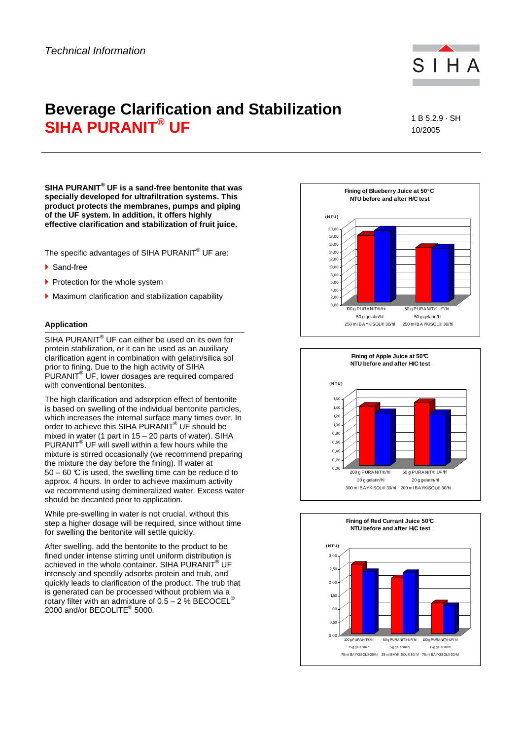

# **Beverage Clarification and Stabilization SIHA PURANIT® UF**

1 B 5.2.9 · SH 10/2005

**SIHA PURANIT® UF is a sand-free bentonite that was specially developed for ultrafiltration systems. This product protects the membranes, pumps and piping of the UF system. In addition, it offers highly effective clarification and stabilization of fruit juice.** 

The specific advantages of SIHA PURANIT<sup>®</sup> UF are:

- ▶ Sand-free
- Protection for the whole system
- Maximum clarification and stabilization capability

# **Application**

SIHA PURANIT $^{\circledast}$  UF can either be used on its own for protein stabilization, or it can be used as an auxiliary clarification agent in combination with gelatin/silica sol prior to fining. Due to the high activity of SIHA PURANIT® UF, lower dosages are required compared with conventional bentonites.

The high clarification and adsorption effect of bentonite is based on swelling of the individual bentonite particles, which increases the internal surface many times over. In order to achieve this SIHA PURANIT® UF should be mixed in water (1 part in 15 – 20 parts of water). SIHA PURANIT $^{\circ}$  UF will swell within a few hours while the mixture is stirred occasionally (we recommend preparing the mixture the day before the fining). If water at  $50 - 60$  °C is used, the swelling time can be reduce d to approx. 4 hours. In order to achieve maximum activity we recommend using demineralized water. Excess water should be decanted prior to application.

While pre-swelling in water is not crucial, without this step a higher dosage will be required, since without time for swelling the bentonite will settle quickly.

After swelling, add the bentonite to the product to be fined under intense stirring until uniform distribution is achieved in the whole container. SIHA PURANIT® UF intensely and speedily adsorbs protein and trub, and quickly leads to clarification of the product. The trub that is generated can be processed without problem via a rotary filter with an admixture of  $0.5 - 2$ % BECOCEL<sup>®</sup> 2000 and/or BECOLITE® 5000.